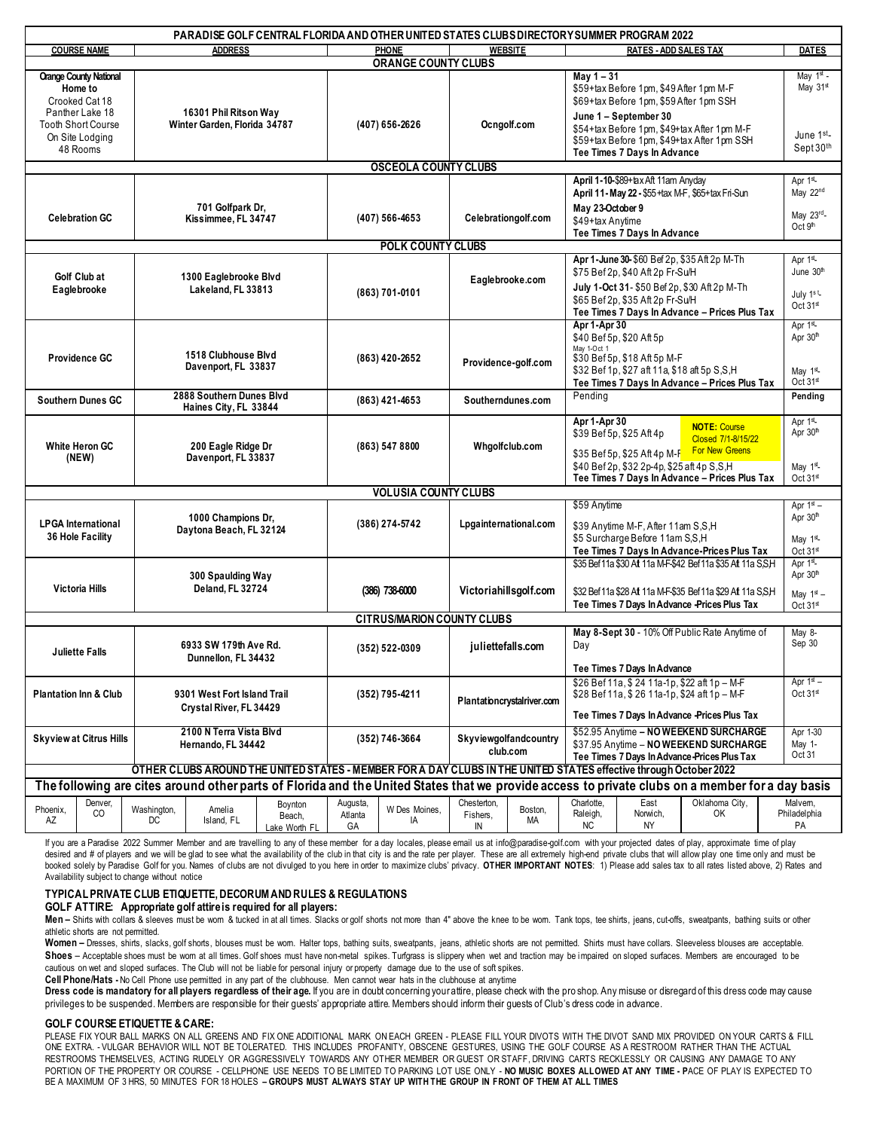| PARADISE GOLF CENTRAL FLORIDA AND OTHER UNITED STATES CLUBS DIRECTORY SUMMER PROGRAM 2022                                                       |                                      |                                                   |                                                        |                                    |                           |                     |                               |                                   |                                                                                                                                                      |                                                                                              |                                           |                                     |
|-------------------------------------------------------------------------------------------------------------------------------------------------|--------------------------------------|---------------------------------------------------|--------------------------------------------------------|------------------------------------|---------------------------|---------------------|-------------------------------|-----------------------------------|------------------------------------------------------------------------------------------------------------------------------------------------------|----------------------------------------------------------------------------------------------|-------------------------------------------|-------------------------------------|
|                                                                                                                                                 | <b>COURSE NAME</b><br><b>ADDRESS</b> |                                                   |                                                        |                                    |                           | <b>PHONE</b>        | <b>WEBSITE</b>                |                                   | <b>RATES - ADD SALES TAX</b>                                                                                                                         |                                                                                              |                                           | <b>DATES</b>                        |
| <b>Orange County National</b><br>Home to<br>Crooked Cat 18                                                                                      |                                      |                                                   |                                                        |                                    | ORANGE COUNTY CLUBS       |                     |                               |                                   | May $1 - 31$<br>\$59+tax Before 1pm, \$49 After 1pm M-F<br>\$69+tax Before 1pm, \$59 After 1pm SSH                                                   |                                                                                              |                                           | May $1st$ -<br>May $31st$           |
| Panther Lake 18<br><b>Tooth Short Course</b><br>On Site Lodging<br>48 Rooms                                                                     |                                      |                                                   | 16301 Phil Ritson Way<br>Winter Garden, Florida 34787  |                                    | (407) 656-2626            |                     | Ocngolf.com                   |                                   | June 1 - September 30<br>\$54+tax Before 1pm, \$49+tax After 1pm M-F<br>\$59+tax Before 1pm, \$49+tax After 1pm SSH<br>Tee Times 7 Days In Advance   |                                                                                              |                                           | June 1 <sup>st</sup> -<br>Sept 30th |
| <b>OSCEOLA COUNTY CLUBS</b>                                                                                                                     |                                      |                                                   |                                                        |                                    |                           |                     |                               |                                   |                                                                                                                                                      |                                                                                              |                                           |                                     |
|                                                                                                                                                 |                                      |                                                   |                                                        |                                    |                           |                     |                               |                                   | April 1-10-\$89+ tax Aft 11am Anyday<br>April 11- May 22 - \$55 +tax M-F, \$65+tax Fri-Sun                                                           |                                                                                              |                                           | Apr 1st<br>May 22nd                 |
| <b>Celebration GC</b>                                                                                                                           |                                      |                                                   | 701 Golfpark Dr.<br>Kissimmee, FL 34747                |                                    | (407) 566-4653            |                     | Celebrationgolf.com           |                                   | May 23-October 9<br>\$49+tax Anytime<br>Tee Times 7 Days In Advance                                                                                  | May 23rd-<br>Oct 9 <sup>th</sup>                                                             |                                           |                                     |
| <b>POLK COUNTY CLUBS</b>                                                                                                                        |                                      |                                                   |                                                        |                                    |                           |                     |                               |                                   |                                                                                                                                                      |                                                                                              |                                           |                                     |
| Golf Club at                                                                                                                                    |                                      | 1300 Eaglebrooke Blvd<br>Lakeland, FL 33813       |                                                        |                                    | (863) 701-0101            |                     | Eaglebrooke.com               |                                   | Apr 1-June 30-\$60 Bef 2p, \$35 Aft 2p M-Th<br>\$75 Bef 2p, \$40 Aft 2p Fr-Su/H                                                                      |                                                                                              |                                           | Apr 1st<br>June 30th                |
| Eaglebrooke                                                                                                                                     |                                      |                                                   |                                                        |                                    |                           |                     |                               |                                   | July 1-Oct 31- \$50 Bef 2p, \$30 Aft 2p M-Th<br>\$65 Bef 2p, \$35 Aft 2p Fr-Su/H<br>Tee Times 7 Days In Advance - Prices Plus Tax                    |                                                                                              |                                           | July 1st<br>Oct $31st$              |
|                                                                                                                                                 |                                      | 1518 Clubhouse Blvd<br>Davenport, FL 33837        |                                                        |                                    | (863) 420-2652            |                     | Providence-golf.com           |                                   | Apr 1-Apr 30<br>\$40 Bef 5p, \$20 Aft 5p                                                                                                             |                                                                                              |                                           | Apr 1st<br>Apr 30th                 |
| Providence GC                                                                                                                                   |                                      |                                                   |                                                        |                                    |                           |                     |                               |                                   | May 1-Oct 1<br>\$30 Bef 5p, \$18 Aft 5p M-F<br>\$32 Bef 1p, \$27 aft 11a, \$18 aft 5p S, S, H                                                        |                                                                                              |                                           | May $1st$                           |
|                                                                                                                                                 |                                      |                                                   |                                                        |                                    |                           |                     |                               |                                   | Tee Times 7 Days In Advance - Prices Plus Tax                                                                                                        |                                                                                              |                                           | Oct $31st$                          |
| <b>Southern Dunes GC</b>                                                                                                                        |                                      | 2888 Southern Dunes Blvd<br>Haines City, FL 33844 |                                                        |                                    | (863) 421-4653            |                     | Southerndunes.com             |                                   | Pendina                                                                                                                                              |                                                                                              |                                           | Pending                             |
| White Heron GC<br>(NEW)                                                                                                                         |                                      | 200 Eagle Ridge Dr<br>Davenport, FL 33837         |                                                        |                                    | (863) 547 8800            |                     | Whgolfclub.com                |                                   | Apr 1-Apr 30                                                                                                                                         | \$39 Bef 5p, \$25 Aft 4p                                                                     | <b>NOTE: Course</b><br>Closed 7/1-8/15/22 | Apr 1st<br>Apr 30th                 |
|                                                                                                                                                 |                                      |                                                   |                                                        |                                    |                           |                     |                               |                                   | <b>For New Greens</b><br>\$35 Bef 5p, \$25 Aft 4p M-F<br>\$40 Bef 2p, \$32 2p-4p, \$25 aft 4p S,S,H<br>Tee Times 7 Days In Advance - Prices Plus Tax |                                                                                              |                                           | May $1st$<br>Oct $31st$             |
| <b>VOLUSIA COUNTY CLUBS</b>                                                                                                                     |                                      |                                                   |                                                        |                                    |                           |                     |                               |                                   |                                                                                                                                                      |                                                                                              |                                           |                                     |
|                                                                                                                                                 |                                      |                                                   |                                                        |                                    |                           |                     |                               |                                   |                                                                                                                                                      | \$59 Anytime                                                                                 |                                           |                                     |
| <b>LPGA</b> International<br>36 Hole Facility                                                                                                   |                                      | 1000 Champions Dr.<br>Daytona Beach, FL 32124     |                                                        |                                    | (386) 274-5742            |                     | Lpgainternational.com         |                                   | \$39 Anytime M-F, After 11am S,S,H<br>\$5 Surcharge Before 11am S,S,H                                                                                |                                                                                              |                                           | Apr 30th<br>May $1st$               |
|                                                                                                                                                 |                                      |                                                   |                                                        |                                    |                           |                     |                               |                                   | Tee Times 7 Days In Advance-Prices Plus Tax                                                                                                          |                                                                                              |                                           | Oct $31st$                          |
| <b>Victoria Hills</b>                                                                                                                           |                                      | 300 Spaulding Way<br>Deland, FL 32724             |                                                        |                                    | (386) 738-6000            |                     | Victoriahillsgolf.com         |                                   | \$35 Bef 11a \$30 Aft 11a M-F-\$42 Bef 11a \$35 Aft 11a S.S.H                                                                                        |                                                                                              |                                           | Apr 1st<br>Apr 30th                 |
|                                                                                                                                                 |                                      |                                                   |                                                        |                                    |                           |                     |                               |                                   | \$32 Bef 11a \$28 Aft 11a M-F-\$35 Bef 11a \$29 Aft 11a S.S.H<br>Tee Times 7 Days In Advance - Prices Plus Tax                                       |                                                                                              |                                           | May $1st$ –<br>Oct 31st             |
| <b>CITRUS/MARION COUNTY CLUBS</b>                                                                                                               |                                      |                                                   |                                                        |                                    |                           |                     |                               |                                   |                                                                                                                                                      |                                                                                              |                                           |                                     |
| <b>Juliette Falls</b>                                                                                                                           |                                      | 6933 SW 179th Ave Rd.<br>Dunnellon, FL 34432      |                                                        |                                    | (352) 522-0309            |                     | juliettefalls.com             |                                   | May 8-Sept 30 - 10% Off Public Rate Anytime of<br>Day                                                                                                |                                                                                              |                                           | May 8-<br>Sep 30                    |
|                                                                                                                                                 |                                      |                                                   |                                                        |                                    |                           |                     |                               |                                   | Tee Times 7 Days In Advance                                                                                                                          |                                                                                              |                                           | Apr $1st$ –                         |
| <b>Plantation Inn &amp; Club</b>                                                                                                                |                                      |                                                   | 9301 West Fort Island Trail<br>Crystal River, FL 34429 |                                    |                           | (352) 795-4211      |                               | Plantationcrystalriver.com        |                                                                                                                                                      | \$26 Bef 11a, \$24 11a-1p, \$22 aft 1p - M-F<br>\$28 Bef 11a, \$26 11a-1p, \$24 aft 1p - M-F |                                           |                                     |
|                                                                                                                                                 |                                      |                                                   |                                                        |                                    |                           |                     |                               |                                   |                                                                                                                                                      | Tee Times 7 Days In Advance -Prices Plus Tax                                                 |                                           |                                     |
| <b>Skyview at Citrus Hills</b>                                                                                                                  |                                      |                                                   | 2100 N Terra Vista Blvd<br>Hernando, FL 34442          |                                    |                           | (352) 746-3664      |                               | Skyviewgolfandcountry<br>club.com |                                                                                                                                                      | \$52.95 Anytime - NO WEEKEND SURCHARGE<br>\$37.95 Anvtime - NO WEEKEND SURCHARGE             |                                           |                                     |
|                                                                                                                                                 |                                      |                                                   |                                                        |                                    |                           |                     |                               |                                   |                                                                                                                                                      | Tee Times 7 Days In Advance-Prices Plus Tax                                                  |                                           |                                     |
| OTHER CLUBS AROUND THE UNITED STATES - MEMBER FOR A DAY CLUBS IN THE UNITED STATES effective through October 2022                               |                                      |                                                   |                                                        |                                    |                           |                     |                               |                                   |                                                                                                                                                      |                                                                                              |                                           |                                     |
| The following are cites around other parts of Florida and the United States that we provide access to private clubs on a member for a day basis |                                      |                                                   |                                                        |                                    |                           |                     |                               |                                   |                                                                                                                                                      |                                                                                              |                                           |                                     |
| Phoenix,<br>AZ                                                                                                                                  | Denver,<br>CO                        | Washington,<br>DC                                 | Amelia<br>Island, FL                                   | Boynton<br>Beach,<br>Lake Worth FL | Augusta,<br>Atlanta<br>GA | W Des Moines,<br>IA | Chesterton,<br>Fishers,<br>IN | Boston,<br>МA                     | Charlotte,<br>Raleigh,<br><b>NC</b>                                                                                                                  | East<br>Norwich,<br>ΝY                                                                       | Oklahoma City,<br>OK                      | Malvem,<br>Philadelphia<br>PA       |

If you are a Paradise 2022 Summer Member and are travelling to any of these member for a day locales, please email us at info@paradise-golf.com with your projected dates of play, approximate time of play desired and # of players and we will be glad to see what the availability of the club in that city is and the rate per player. These are all extremely high-end private clubs that will allow play one time only and must be booked solely by Paradise Golf for you. Names of clubs are not divulged to you here in order to maximize clubs' privacy. OTHER IMPORTANT NOTES: 1) Please add sales tax to all rates listed above, 2) Rates and Availability subject to change without notice

#### **TYPICAL PRIVATE CLUB ETIQUETTE, DECORUM AND RULES & REGULATIONS**

**GOLF ATTIRE: Appropriate golf attire is required for all players:** 

Men - Shirts with collars & sleeves must be wom & tucked in at all times. Slacks or golf shorts not more than 4" above the knee to be wom. Tank tops, tee shirts, jeans, cut-offs, sweatpants, bathing suits or other athletic shorts are not permitted.

Women - Dresses, shirts, slacks, golf shorts, blouses must be wom. Halter tops, bathing suits, sweatpants, jeans, athletic shorts are not permitted. Shirts must have collars. Sleeveless blouses are acceptable. Shoes - Acceptable shoes must be wom at all times. Golf shoes must have non-metal spikes. Turfgrass is slippery when wet and traction may be impaired on sloped surfaces. Members are encouraged to be cautious on wet and sloped surfaces. The Club will not be liable for personal injury or property damage due to the use of soft spikes.

**Cell Phone/Hats -** No Cell Phone use permitted in any part of the clubhouse. Men cannot wear hats in the clubhouse at anytime

**Dress code is mandatory for all players regardless of their age.** If you are in doubt concerning your attire, please check with the pro shop. Any misuse or disregard of this dress code may cause privileges to be suspended. Members are responsible for their guests' appropriate attire. Members should inform their guests of Club's dress code in advance.

#### **GOLF COURSE ETIQUETTE & CARE:**

PLEASE FIX YOUR BALL MARKS ON ALL GREENS AND FIX ONE ADDITIONAL MARK ON EACH GREEN - PLEASE FILL YOUR DIVOTS WITH THE DIVOT SAND MIX PROVIDED ON YOUR CARTS & FILL ONE EXTRA. - VULGAR BEHAVIOR WILL NOT BE TOLERATED. THIS INCLUDES PROFANITY, OBSCENE GESTURES, USING THE GOLF COURSE AS A RESTROOM RATHER THAN THE ACTUAL RESTROOMS THEMSELVES, ACTING RUDELY OR AGGRESSIVELY TOWARDS ANY OTHER MEMBER OR GUEST OR STAFF, DRIVING CARTS RECKLESSLY OR CAUSING ANY DAMAGE TO ANY PORTION OF THE PROPERTY OR COURSE - CELLPHONE USE NEEDS TO BE LIMITED TO PARKING LOT USE ONLY - **NO MUSIC BOXES ALLOWED AT ANY TIME - P**ACE OF PLAY IS EXPECTED TO BE A MAXIMUM OF 3 HRS, 50 MINUTES FOR 18 HOLES **– GROUPS MUST ALWAYS STAY UP WITH THE GROUP IN FRONT OF THEM AT ALL TIMES**